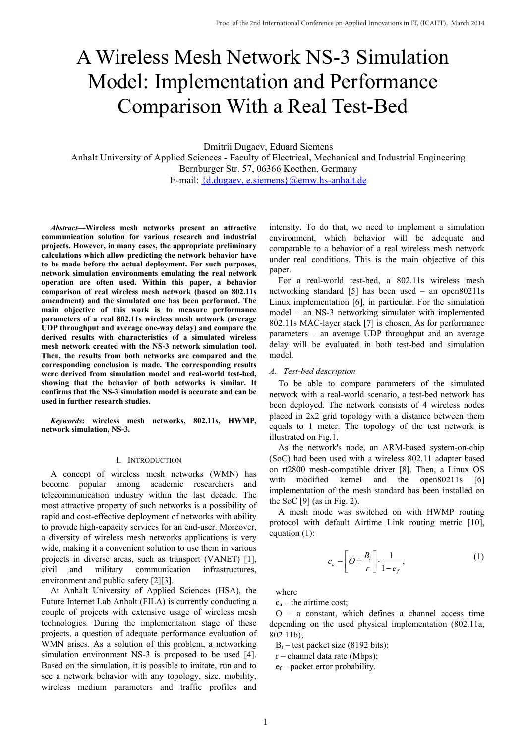# A Wireless Mesh Network NS-3 Simulation Model: Implementation and Performance Comparison With a Real Test-Bed

Dmitrii Dugaev, Eduard Siemens

Anhalt University of Applied Sciences - Faculty of Electrical, Mechanical and Industrial Engineering Bernburger Str. 57, 06366 Koethen, Germany E-mail: {d.dugaev, e.siemens}@emw.hs-anhalt.de

*Abstract***—Wireless mesh networks present an attractive communication solution for various research and industrial projects. However, in many cases, the appropriate preliminary calculations which allow predicting the network behavior have to be made before the actual deployment. For such purposes, network simulation environments emulating the real network operation are often used. Within this paper, a behavior comparison of real wireless mesh network (based on 802.11s amendment) and the simulated one has been performed. The main objective of this work is to measure performance parameters of a real 802.11s wireless mesh network (average UDP throughput and average one-way delay) and compare the derived results with characteristics of a simulated wireless mesh network created with the NS-3 network simulation tool. Then, the results from both networks are compared and the corresponding conclusion is made. The corresponding results were derived from simulation model and real-world test-bed, showing that the behavior of both networks is similar. It confirms that the NS-3 simulation model is accurate and can be used in further research studies.**

*Keywords***: wireless mesh networks, 802.11s, HWMP, network simulation, NS-3.**

#### I. INTRODUCTION

A concept of wireless mesh networks (WMN) has become popular among academic researchers and telecommunication industry within the last decade. The most attractive property of such networks is a possibility of rapid and cost-effective deployment of networks with ability to provide high-capacity services for an end-user. Moreover, a diversity of wireless mesh networks applications is very wide, making it a convenient solution to use them in various projects in diverse areas, such as transport (VANET) [1], civil and military communication infrastructures, environment and public safety [2][3].

At Anhalt University of Applied Sciences (HSA), the Future Internet Lab Anhalt (FILA) is currently conducting a couple of projects with extensive usage of wireless mesh technologies. During the implementation stage of these projects, a question of adequate performance evaluation of WMN arises. As a solution of this problem, a networking simulation environment NS-3 is proposed to be used [4]. Based on the simulation, it is possible to imitate, run and to see a network behavior with any topology, size, mobility, wireless medium parameters and traffic profiles and

intensity. To do that, we need to implement a simulation environment, which behavior will be adequate and comparable to a behavior of a real wireless mesh network under real conditions. This is the main objective of this paper.

For a real-world test-bed, a 802.11s wireless mesh networking standard [5] has been used – an open80211s Linux implementation [6], in particular. For the simulation model – an NS-3 networking simulator with implemented 802.11s MAC-layer stack [7] is chosen. As for performance parameters – an average UDP throughput and an average delay will be evaluated in both test-bed and simulation model.

#### *A. Test-bed description*

To be able to compare parameters of the simulated network with a real-world scenario, a test-bed network has been deployed. The network consists of 4 wireless nodes placed in 2x2 grid topology with a distance between them equals to 1 meter. The topology of the test network is illustrated on Fig.1.

As the network's node, an ARM-based system-on-chip (SoC) had been used with a wireless 802.11 adapter based on rt2800 mesh-compatible driver [8]. Then, a Linux OS with modified kernel and the open80211s [6] implementation of the mesh standard has been installed on the SoC  $[9]$  (as in Fig. 2).

A mesh mode was switched on with HWMP routing protocol with default Airtime Link routing metric [10], equation (1):

$$
c_a = \left[O + \frac{B_t}{r}\right] \cdot \frac{1}{1 - e_f},\tag{1}
$$

where

 $c_a$  – the airtime cost;

O – a constant, which defines a channel access time depending on the used physical implementation (802.11a, 802.11b);

 $B_t$  – test packet size (8192 bits);

r – channel data rate (Mbps);

 $e_f$  – packet error probability.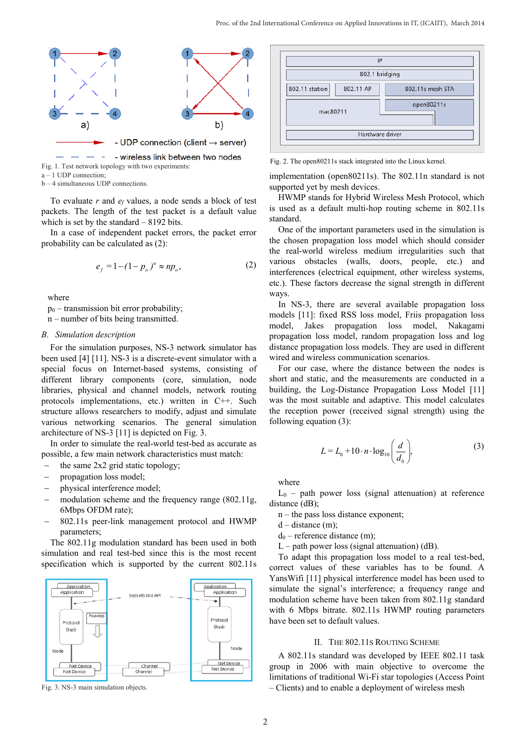

 $a - 1$  UDP connection;

b – 4 simultaneous UDP connections.

To evaluate *r* and *ef* values, a node sends a block of test packets. The length of the test packet is a default value which is set by the standard – 8192 bits.

In a case of independent packet errors, the packet error probability can be calculated as (2):

$$
e_f = 1 - (1 - p_o)^n \approx np_o,
$$
 (2)

where

 $p_0$  – transmission bit error probability;

n – number of bits being transmitted.

## *B. Simulation description*

For the simulation purposes, NS-3 network simulator has been used [4] [11]. NS-3 is a discrete-event simulator with a special focus on Internet-based systems, consisting of different library components (core, simulation, node libraries, physical and channel models, network routing protocols implementations, etc.) written in C++. Such structure allows researchers to modify, adjust and simulate various networking scenarios. The general simulation architecture of NS-3 [11] is depicted on Fig. 3.

In order to simulate the real-world test-bed as accurate as possible, a few main network characteristics must match:

- the same  $2x2$  grid static topology;
- propagation loss model;
- physical interference model;
- modulation scheme and the frequency range  $(802.11g,$ 6Mbps OFDM rate);
- − 802.11s peer-link management protocol and HWMP parameters;

The 802.11g modulation standard has been used in both simulation and real test-bed since this is the most recent specification which is supported by the current 802.11s



Fig. 3. NS-3 main simulation objects.

| IP                          |                  |  |  |  |  |
|-----------------------------|------------------|--|--|--|--|
| 802.1 bridging              |                  |  |  |  |  |
| 802.11 station<br>802.11 AP | 802.11s mesh STA |  |  |  |  |
| open80211s<br>mac80211      |                  |  |  |  |  |
| Hardware driver             |                  |  |  |  |  |

implementation (open80211s). The 802.11n standard is not supported yet by mesh devices.

HWMP stands for Hybrid Wireless Mesh Protocol, which is used as a default multi-hop routing scheme in 802.11s standard.

One of the important parameters used in the simulation is the chosen propagation loss model which should consider the real-world wireless medium irregularities such that various obstacles (walls, doors, people, etc.) and interferences (electrical equipment, other wireless systems, etc.). These factors decrease the signal strength in different ways.

In NS-3, there are several available propagation loss models [11]: fixed RSS loss model, Friis propagation loss model, Jakes propagation loss model, Nakagami propagation loss model, random propagation loss and log distance propagation loss models. They are used in different wired and wireless communication scenarios.

For our case, where the distance between the nodes is short and static, and the measurements are conducted in a building, the Log-Distance Propagation Loss Model [11] was the most suitable and adaptive. This model calculates the reception power (received signal strength) using the following equation (3):

$$
L = L_0 + 10 \cdot n \cdot \log_{10} \left( \frac{d}{d_0} \right),\tag{3}
$$

where

 $L_0$  – path power loss (signal attenuation) at reference distance (dB);

- n the pass loss distance exponent;
- $d distance (m)$ ;
- $d_0$  reference distance (m);
- $L$  path power loss (signal attenuation) (dB).

To adapt this propagation loss model to a real test-bed, correct values of these variables has to be found. A YansWifi [11] physical interference model has been used to simulate the signal's interference; a frequency range and modulation scheme have been taken from 802.11g standard with 6 Mbps bitrate. 802.11s HWMP routing parameters have been set to default values.

# II. THE 802.11S ROUTING SCHEME

A 802.11s standard was developed by IEEE 802.11 task group in 2006 with main objective to overcome the limitations of traditional Wi-Fi star topologies (Access Point – Clients) and to enable a deployment of wireless mesh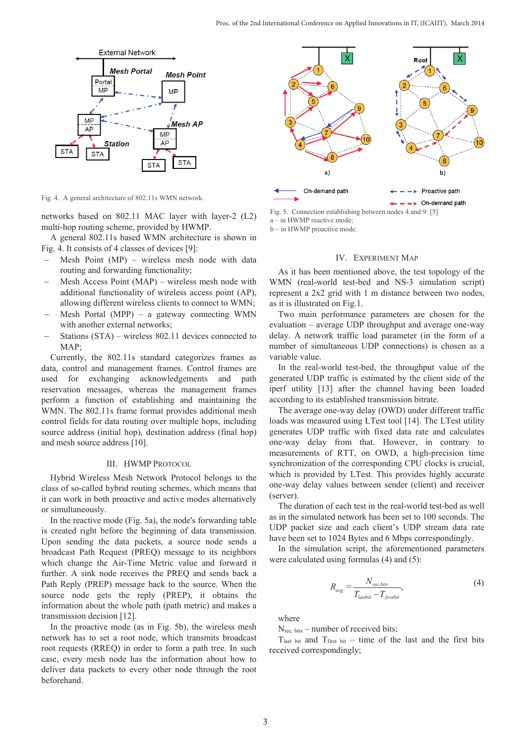

Fig. 4. A general architecture of 802.11s WMN network.

networks based on 802.11 MAC layer with layer-2 (L2) multi-hop routing scheme, provided by HWMP.

A general 802.11s based WMN architecture is shown in Fig. 4. It consists of 4 classes of devices [9]:

- Mesh Point  $(MP)$  wireless mesh node with data routing and forwarding functionality;
- $Mesh$  Access Point  $(MAP)$  wireless mesh node with additional functionality of wireless access point (AP), allowing different wireless clients to connect to WMN;
- Mesh Portal (MPP) a gateway connecting WMN with another external networks;
- Stations (STA) wireless 802.11 devices connected to MAP;

Currently, the 802.11s standard categorizes frames as data, control and management frames. Control frames are used for exchanging acknowledgements and path reservation messages, whereas the management frames perform a function of establishing and maintaining the WMN. The 802.11s frame format provides additional mesh control fields for data routing over multiple hops, including source address (initial hop), destination address (final hop) and mesh source address [10].

#### III. HWMP PROTOCOL

Hybrid Wireless Mesh Network Protocol belongs to the class of so-called hybrid routing schemes, which means that it can work in both proactive and active modes alternatively or simultaneously.

In the reactive mode (Fig. 5a), the node's forwarding table is created right before the beginning of data transmission. Upon sending the data packets, a source node sends a broadcast Path Request (PREQ) message to its neighbors which change the Air-Time Metric value and forward it further. A sink node receives the PREQ and sends back a Path Reply (PREP) message back to the source. When the source node gets the reply (PREP), it obtains the information about the whole path (path metric) and makes a transmission decision [12].

In the proactive mode (as in Fig. 5b), the wireless mesh network has to set a root node, which transmits broadcast root requests (RREQ) in order to form a path tree. In such case, every mesh node has the information about how to deliver data packets to every other node through the root beforehand.



Fig. 5. Connection establishing between nodes 4 and 9: [5] a – in HWMP reactive mode; b – in HWMP proactive mode.

#### IV. EXPERIMENT MAP

As it has been mentioned above, the test topology of the WMN (real-world test-bed and NS-3 simulation script) represent a 2x2 grid with 1 m distance between two nodes, as it is illustrated on Fig.1.

Two main performance parameters are chosen for the evaluation – average UDP throughput and average one-way delay. A network traffic load parameter (in the form of a number of simultaneous UDP connections) is chosen as a variable value.

In the real-world test-bed, the throughput value of the generated UDP traffic is estimated by the client side of the iperf utility [13] after the channel having been loaded according to its established transmission bitrate.

The average one-way delay (OWD) under different traffic loads was measured using LTest tool [14]. The LTest utility generates UDP traffic with fixed data rate and calculates one-way delay from that. However, in contrary to measurements of RTT, on OWD, a high-precision time synchronization of the corresponding CPU clocks is crucial, which is provided by LTest. This provides highly accurate one-way delay values between sender (client) and receiver (server).

The duration of each test in the real-world test-bed as well as in the simulated network has been set to 100 seconds. The UDP packet size and each client's UDP stream data rate have been set to 1024 Bytes and 6 Mbps correspondingly.

In the simulation script, the aforementioned parameters were calculated using formulas (4) and (5):

$$
R_{avg} = \frac{N_{rec.bits}}{T_{lastbit} - T_{firstbit}},\tag{4}
$$

where

N<sub>rec. bits</sub> – number of received bits;

 $T<sub>last bit</sub>$  and  $T<sub>first bit</sub>$  – time of the last and the first bits received correspondingly;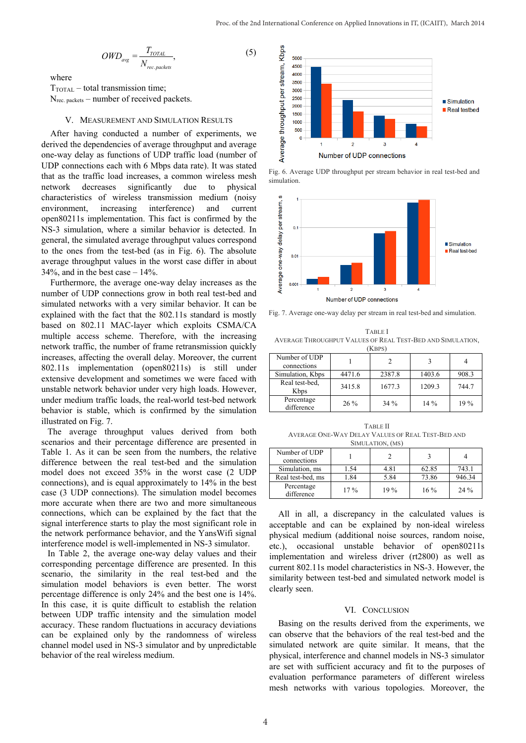$$
OWD_{avg} = \frac{T_{TOTAL}}{N_{rec, packets}},
$$
\n(5)

where

 $T_{\text{TOTAL}}$  – total transmission time; N<sub>rec. packets</sub> – number of received packets.

#### V. MEASUREMENT AND SIMULATION RESULTS

After having conducted a number of experiments, we derived the dependencies of average throughput and average one-way delay as functions of UDP traffic load (number of UDP connections each with 6 Mbps data rate). It was stated that as the traffic load increases, a common wireless mesh network decreases significantly due to physical characteristics of wireless transmission medium (noisy environment, increasing interference) and current open80211s implementation. This fact is confirmed by the NS-3 simulation, where a similar behavior is detected. In general, the simulated average throughput values correspond to the ones from the test-bed (as in Fig. 6). The absolute average throughput values in the worst case differ in about  $34\%$ , and in the best case  $-14\%$ .

Furthermore, the average one-way delay increases as the number of UDP connections grow in both real test-bed and simulated networks with a very similar behavior. It can be explained with the fact that the 802.11s standard is mostly based on 802.11 MAC-layer which exploits CSMA/CA multiple access scheme. Therefore, with the increasing network traffic, the number of frame retransmission quickly increases, affecting the overall delay. Moreover, the current 802.11s implementation (open80211s) is still under extensive development and sometimes we were faced with unstable network behavior under very high loads. However, under medium traffic loads, the real-world test-bed network behavior is stable, which is confirmed by the simulation illustrated on Fig. 7.

The average throughput values derived from both scenarios and their percentage difference are presented in Table 1. As it can be seen from the numbers, the relative difference between the real test-bed and the simulation model does not exceed 35% in the worst case (2 UDP connections), and is equal approximately to 14% in the best case (3 UDP connections). The simulation model becomes more accurate when there are two and more simultaneous connections, which can be explained by the fact that the signal interference starts to play the most significant role in the network performance behavior, and the YansWifi signal interference model is well-implemented in NS-3 simulator.

In Table 2, the average one-way delay values and their corresponding percentage difference are presented. In this scenario, the similarity in the real test-bed and the simulation model behaviors is even better. The worst percentage difference is only 24% and the best one is 14%. In this case, it is quite difficult to establish the relation between UDP traffic intensity and the simulation model accuracy. These random fluctuations in accuracy deviations can be explained only by the randomness of wireless channel model used in NS-3 simulator and by unpredictable behavior of the real wireless medium.



Fig. 6. Average UDP throughput per stream behavior in real test-bed and simulation.



Fig. 7. Average one-way delay per stream in real test-bed and simulation.

TABLE I AVERAGE THROUGHPUT VALUES OF REAL TEST-BED AND SIMULATION,  $(K$ <sub>DPS</sub> $)$ 

| .                            |        |        |        |       |  |  |  |
|------------------------------|--------|--------|--------|-------|--|--|--|
| Number of UDP<br>connections |        |        |        |       |  |  |  |
| Simulation, Kbps             | 4471.6 | 2387.8 | 1403.6 | 908.3 |  |  |  |
| Real test-bed.<br>Kbps       | 3415.8 | 1677.3 | 1209.3 | 744.7 |  |  |  |
| Percentage<br>difference     | $26\%$ | 34%    | $14\%$ | 19%   |  |  |  |

TABLE II AVERAGE ONE-WAY DELAY VALUES OF REAL TEST-BED AND SIMULATION, (MS)

| Number of UDP<br>connections |        |      |        |        |
|------------------------------|--------|------|--------|--------|
| Simulation, ms               | 1.54   | 4.81 | 62.85  | 743.1  |
| Real test-bed, ms            | 1.84   | 5.84 | 73.86  | 946.34 |
| Percentage<br>difference     | $17\%$ | 19%  | $16\%$ | $24\%$ |

All in all, a discrepancy in the calculated values is acceptable and can be explained by non-ideal wireless physical medium (additional noise sources, random noise, etc.), occasional unstable behavior of open80211s implementation and wireless driver (rt2800) as well as current 802.11s model characteristics in NS-3. However, the similarity between test-bed and simulated network model is clearly seen.

#### VI. CONCLUSION

Basing on the results derived from the experiments, we can observe that the behaviors of the real test-bed and the simulated network are quite similar. It means, that the physical, interference and channel models in NS-3 simulator are set with sufficient accuracy and fit to the purposes of evaluation performance parameters of different wireless mesh networks with various topologies. Moreover, the